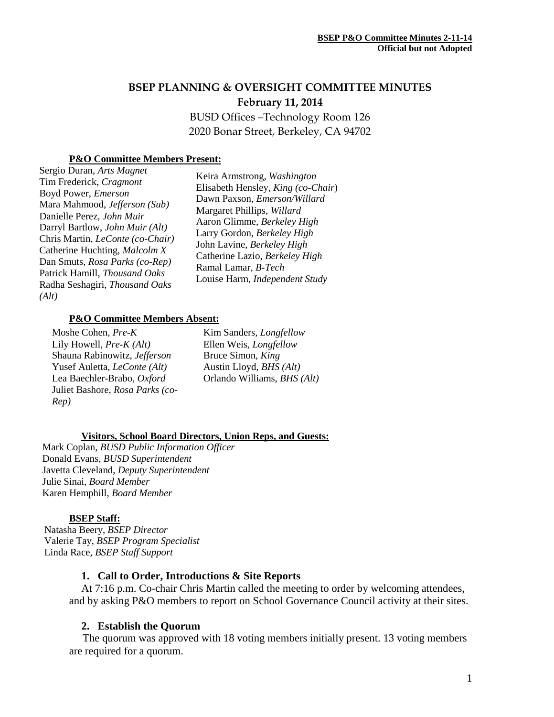# **BSEP PLANNING & OVERSIGHT COMMITTEE MINUTES February 11, 2014**

BUSD Offices –Technology Room 126 2020 Bonar Street, Berkeley, CA 94702

# **P&O Committee Members Present:**

Sergio Duran, *Arts Magnet* Tim Frederick, *Cragmont* Boyd Power, *Emerson* Mara Mahmood, *Jefferson (Sub)* Danielle Perez, *John Muir* Darryl Bartlow, *John Muir (Alt)* Chris Martin, *LeConte (co-Chair)* Catherine Huchting, *Malcolm X* Dan Smuts, *Rosa Parks (co-Rep)* Patrick Hamill, *Thousand Oaks* Radha Seshagiri, *Thousand Oaks (Alt)*

Keira Armstrong, *Washington* Elisabeth Hensley*, King (co-Chair*) Dawn Paxson, *Emerson/Willard* Margaret Phillips, *Willard* Aaron Glimme, *Berkeley High* Larry Gordon, *Berkeley High* John Lavine, *Berkeley High* Catherine Lazio, *Berkeley High* Ramal Lamar*, B-Tech* Louise Harm, *Independent Study*

### **P&O Committee Members Absent:**

Moshe Cohen, *Pre-K* Lily Howell, *Pre-K (Alt)* Shauna Rabinowitz, *Jefferson* Yusef Auletta, *LeConte (Alt)* Lea Baechler-Brabo, *Oxford* Juliet Bashore, *Rosa Parks (co-Rep)*

Kim Sanders*, Longfellow* Ellen Weis, *Longfellow* Bruce Simon, *King* Austin Lloyd, *BHS (Alt)* Orlando Williams, *BHS (Alt)*

### **Visitors, School Board Directors, Union Reps, and Guests:**

Mark Coplan, *BUSD Public Information Officer* Donald Evans, *BUSD Superintendent* Javetta Cleveland, *Deputy Superintendent* Julie Sinai, *Board Member* Karen Hemphill, *Board Member*

### **BSEP Staff:**

 Natasha Beery, *BSEP Director* Valerie Tay, *BSEP Program Specialist* Linda Race, *BSEP Staff Support*

# **1. Call to Order, Introductions & Site Reports**

At 7:16 p.m. Co-chair Chris Martin called the meeting to order by welcoming attendees, and by asking P&O members to report on School Governance Council activity at their sites.

# **2. Establish the Quorum**

 The quorum was approved with 18 voting members initially present. 13 voting members are required for a quorum.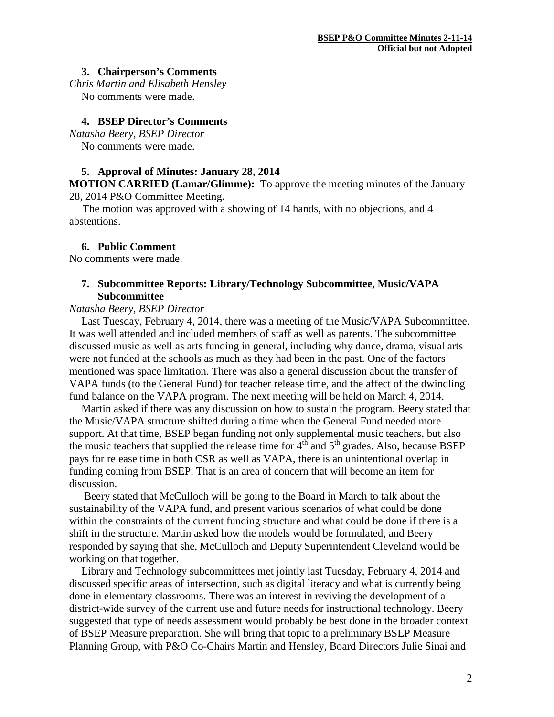### **3. Chairperson's Comments**

*Chris Martin and Elisabeth Hensley* No comments were made.

# **4. BSEP Director's Comments**

*Natasha Beery, BSEP Director* No comments were made.

# **5. Approval of Minutes: January 28, 2014**

**MOTION CARRIED (Lamar/Glimme):** To approve the meeting minutes of the January 28, 2014 P&O Committee Meeting.

 The motion was approved with a showing of 14 hands, with no objections, and 4 abstentions.

### **6. Public Comment**

No comments were made.

# **7. Subcommittee Reports: Library/Technology Subcommittee, Music/VAPA Subcommittee**

### *Natasha Beery, BSEP Director*

Last Tuesday, February 4, 2014, there was a meeting of the Music/VAPA Subcommittee. It was well attended and included members of staff as well as parents. The subcommittee discussed music as well as arts funding in general, including why dance, drama, visual arts were not funded at the schools as much as they had been in the past. One of the factors mentioned was space limitation. There was also a general discussion about the transfer of VAPA funds (to the General Fund) for teacher release time, and the affect of the dwindling fund balance on the VAPA program. The next meeting will be held on March 4, 2014.

Martin asked if there was any discussion on how to sustain the program. Beery stated that the Music/VAPA structure shifted during a time when the General Fund needed more support. At that time, BSEP began funding not only supplemental music teachers, but also the music teachers that supplied the release time for  $4<sup>th</sup>$  and  $5<sup>th</sup>$  grades. Also, because BSEP pays for release time in both CSR as well as VAPA, there is an unintentional overlap in funding coming from BSEP. That is an area of concern that will become an item for discussion.

Beery stated that McCulloch will be going to the Board in March to talk about the sustainability of the VAPA fund, and present various scenarios of what could be done within the constraints of the current funding structure and what could be done if there is a shift in the structure. Martin asked how the models would be formulated, and Beery responded by saying that she, McCulloch and Deputy Superintendent Cleveland would be working on that together.

Library and Technology subcommittees met jointly last Tuesday, February 4, 2014 and discussed specific areas of intersection, such as digital literacy and what is currently being done in elementary classrooms. There was an interest in reviving the development of a district-wide survey of the current use and future needs for instructional technology. Beery suggested that type of needs assessment would probably be best done in the broader context of BSEP Measure preparation. She will bring that topic to a preliminary BSEP Measure Planning Group, with P&O Co-Chairs Martin and Hensley, Board Directors Julie Sinai and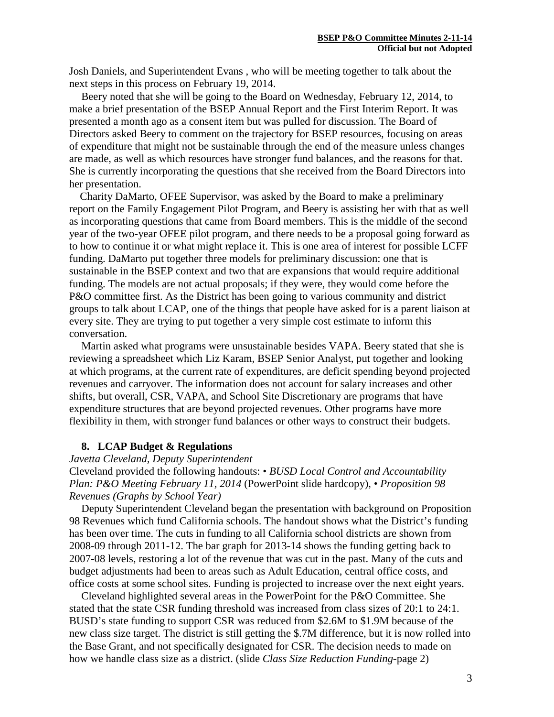Josh Daniels, and Superintendent Evans , who will be meeting together to talk about the next steps in this process on February 19, 2014.

Beery noted that she will be going to the Board on Wednesday, February 12, 2014, to make a brief presentation of the BSEP Annual Report and the First Interim Report. It was presented a month ago as a consent item but was pulled for discussion. The Board of Directors asked Beery to comment on the trajectory for BSEP resources, focusing on areas of expenditure that might not be sustainable through the end of the measure unless changes are made, as well as which resources have stronger fund balances, and the reasons for that. She is currently incorporating the questions that she received from the Board Directors into her presentation.

 Charity DaMarto, OFEE Supervisor, was asked by the Board to make a preliminary report on the Family Engagement Pilot Program, and Beery is assisting her with that as well as incorporating questions that came from Board members. This is the middle of the second year of the two-year OFEE pilot program, and there needs to be a proposal going forward as to how to continue it or what might replace it. This is one area of interest for possible LCFF funding. DaMarto put together three models for preliminary discussion: one that is sustainable in the BSEP context and two that are expansions that would require additional funding. The models are not actual proposals; if they were, they would come before the P&O committee first. As the District has been going to various community and district groups to talk about LCAP, one of the things that people have asked for is a parent liaison at every site. They are trying to put together a very simple cost estimate to inform this conversation.

Martin asked what programs were unsustainable besides VAPA. Beery stated that she is reviewing a spreadsheet which Liz Karam, BSEP Senior Analyst, put together and looking at which programs, at the current rate of expenditures, are deficit spending beyond projected revenues and carryover. The information does not account for salary increases and other shifts, but overall, CSR, VAPA, and School Site Discretionary are programs that have expenditure structures that are beyond projected revenues. Other programs have more flexibility in them, with stronger fund balances or other ways to construct their budgets.

# **8. LCAP Budget & Regulations**

# *Javetta Cleveland, Deputy Superintendent*

Cleveland provided the following handouts: • *BUSD Local Control and Accountability Plan: P&O Meeting February 11, 2014* (PowerPoint slide hardcopy), *• Proposition 98 Revenues (Graphs by School Year)*

Deputy Superintendent Cleveland began the presentation with background on Proposition 98 Revenues which fund California schools. The handout shows what the District's funding has been over time. The cuts in funding to all California school districts are shown from 2008-09 through 2011-12. The bar graph for 2013-14 shows the funding getting back to 2007-08 levels, restoring a lot of the revenue that was cut in the past. Many of the cuts and budget adjustments had been to areas such as Adult Education, central office costs, and office costs at some school sites. Funding is projected to increase over the next eight years.

Cleveland highlighted several areas in the PowerPoint for the P&O Committee. She stated that the state CSR funding threshold was increased from class sizes of 20:1 to 24:1. BUSD's state funding to support CSR was reduced from \$2.6M to \$1.9M because of the new class size target. The district is still getting the \$.7M difference, but it is now rolled into the Base Grant, and not specifically designated for CSR. The decision needs to made on how we handle class size as a district. (slide *Class Size Reduction Funding-*page 2)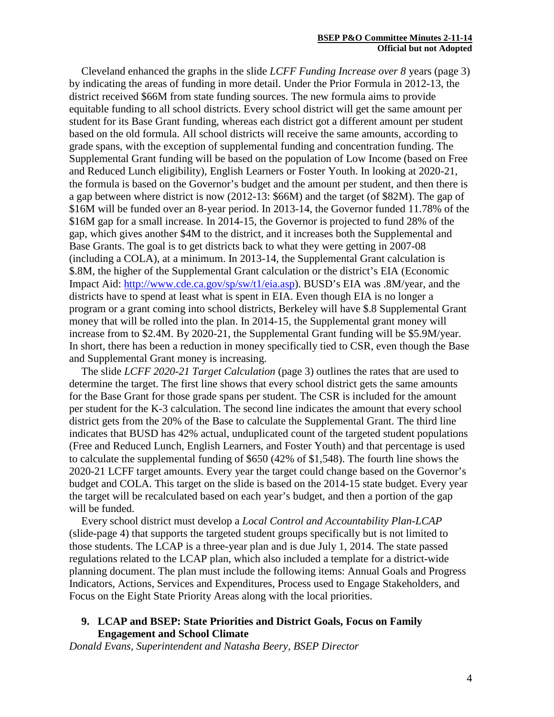Cleveland enhanced the graphs in the slide *LCFF Funding Increase over 8* years (page 3) by indicating the areas of funding in more detail. Under the Prior Formula in 2012-13, the district received \$66M from state funding sources. The new formula aims to provide equitable funding to all school districts. Every school district will get the same amount per student for its Base Grant funding, whereas each district got a different amount per student based on the old formula. All school districts will receive the same amounts, according to grade spans, with the exception of supplemental funding and concentration funding. The Supplemental Grant funding will be based on the population of Low Income (based on Free and Reduced Lunch eligibility), English Learners or Foster Youth. In looking at 2020-21, the formula is based on the Governor's budget and the amount per student, and then there is a gap between where district is now (2012-13: \$66M) and the target (of \$82M). The gap of \$16M will be funded over an 8-year period. In 2013-14, the Governor funded 11.78% of the \$16M gap for a small increase. In 2014-15, the Governor is projected to fund 28% of the gap, which gives another \$4M to the district, and it increases both the Supplemental and Base Grants. The goal is to get districts back to what they were getting in 2007-08 (including a COLA), at a minimum. In 2013-14, the Supplemental Grant calculation is \$.8M, the higher of the Supplemental Grant calculation or the district's EIA (Economic Impact Aid: [http://www.cde.ca.gov/sp/sw/t1/eia.asp\)](http://www.cde.ca.gov/sp/sw/t1/eia.asp). BUSD's EIA was .8M/year, and the districts have to spend at least what is spent in EIA. Even though EIA is no longer a program or a grant coming into school districts, Berkeley will have \$.8 Supplemental Grant money that will be rolled into the plan. In 2014-15, the Supplemental grant money will increase from to \$2.4M. By 2020-21, the Supplemental Grant funding will be \$5.9M/year. In short, there has been a reduction in money specifically tied to CSR, even though the Base and Supplemental Grant money is increasing.

The slide *LCFF 2020-21 Target Calculation* (page 3) outlines the rates that are used to determine the target. The first line shows that every school district gets the same amounts for the Base Grant for those grade spans per student. The CSR is included for the amount per student for the K-3 calculation. The second line indicates the amount that every school district gets from the 20% of the Base to calculate the Supplemental Grant. The third line indicates that BUSD has 42% actual, unduplicated count of the targeted student populations (Free and Reduced Lunch, English Learners, and Foster Youth) and that percentage is used to calculate the supplemental funding of \$650 (42% of \$1,548). The fourth line shows the 2020-21 LCFF target amounts. Every year the target could change based on the Governor's budget and COLA. This target on the slide is based on the 2014-15 state budget. Every year the target will be recalculated based on each year's budget, and then a portion of the gap will be funded.

Every school district must develop a *Local Control and Accountability Plan-LCAP* (slide-page 4) that supports the targeted student groups specifically but is not limited to those students. The LCAP is a three-year plan and is due July 1, 2014. The state passed regulations related to the LCAP plan, which also included a template for a district-wide planning document. The plan must include the following items: Annual Goals and Progress Indicators, Actions, Services and Expenditures, Process used to Engage Stakeholders, and Focus on the Eight State Priority Areas along with the local priorities.

# **9. LCAP and BSEP: State Priorities and District Goals, Focus on Family Engagement and School Climate**

*Donald Evans, Superintendent and Natasha Beery, BSEP Director*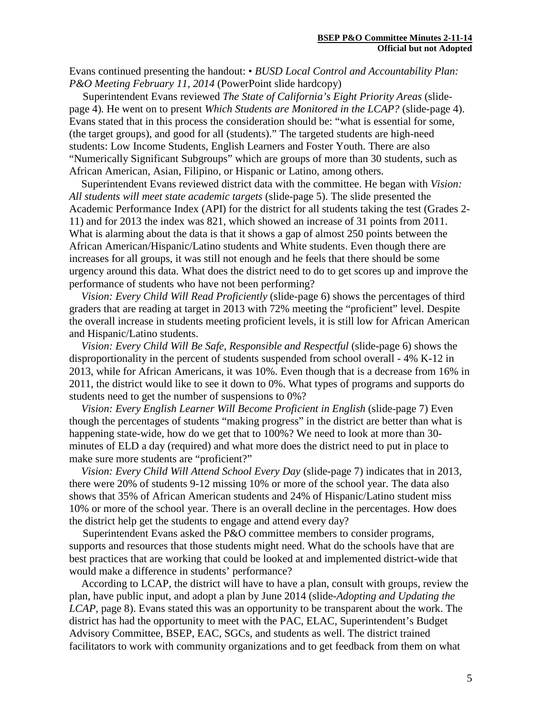Evans continued presenting the handout: • *BUSD Local Control and Accountability Plan: P&O Meeting February 11, 2014* (PowerPoint slide hardcopy)

 Superintendent Evans reviewed *The State of California's Eight Priority Areas* (slidepage 4)*.* He went on to present *Which Students are Monitored in the LCAP?* (slide-page 4). Evans stated that in this process the consideration should be: "what is essential for some, (the target groups), and good for all (students)." The targeted students are high-need students: Low Income Students, English Learners and Foster Youth. There are also "Numerically Significant Subgroups" which are groups of more than 30 students, such as African American, Asian, Filipino, or Hispanic or Latino, among others.

Superintendent Evans reviewed district data with the committee. He began with *Vision: All students will meet state academic targets* (slide-page 5). The slide presented the Academic Performance Index (API) for the district for all students taking the test (Grades 2- 11) and for 2013 the index was 821, which showed an increase of 31 points from 2011. What is alarming about the data is that it shows a gap of almost 250 points between the African American/Hispanic/Latino students and White students. Even though there are increases for all groups, it was still not enough and he feels that there should be some urgency around this data. What does the district need to do to get scores up and improve the performance of students who have not been performing?

*Vision: Every Child Will Read Proficiently* (slide-page 6) shows the percentages of third graders that are reading at target in 2013 with 72% meeting the "proficient" level. Despite the overall increase in students meeting proficient levels, it is still low for African American and Hispanic/Latino students.

*Vision: Every Child Will Be Safe, Responsible and Respectful* (slide-page 6) shows the disproportionality in the percent of students suspended from school overall - 4% K-12 in 2013, while for African Americans, it was 10%. Even though that is a decrease from 16% in 2011, the district would like to see it down to 0%. What types of programs and supports do students need to get the number of suspensions to 0%?

*Vision: Every English Learner Will Become Proficient in English* (slide-page 7) Even though the percentages of students "making progress" in the district are better than what is happening state-wide, how do we get that to 100%? We need to look at more than 30 minutes of ELD a day (required) and what more does the district need to put in place to make sure more students are "proficient?"

*Vision: Every Child Will Attend School Every Day* (slide-page 7) indicates that in 2013, there were 20% of students 9-12 missing 10% or more of the school year. The data also shows that 35% of African American students and 24% of Hispanic/Latino student miss 10% or more of the school year. There is an overall decline in the percentages. How does the district help get the students to engage and attend every day?

Superintendent Evans asked the P&O committee members to consider programs, supports and resources that those students might need. What do the schools have that are best practices that are working that could be looked at and implemented district-wide that would make a difference in students' performance?

According to LCAP, the district will have to have a plan, consult with groups, review the plan, have public input, and adopt a plan by June 2014 (slide-*Adopting and Updating the LCAP,* page 8). Evans stated this was an opportunity to be transparent about the work. The district has had the opportunity to meet with the PAC, ELAC, Superintendent's Budget Advisory Committee, BSEP, EAC, SGCs, and students as well. The district trained facilitators to work with community organizations and to get feedback from them on what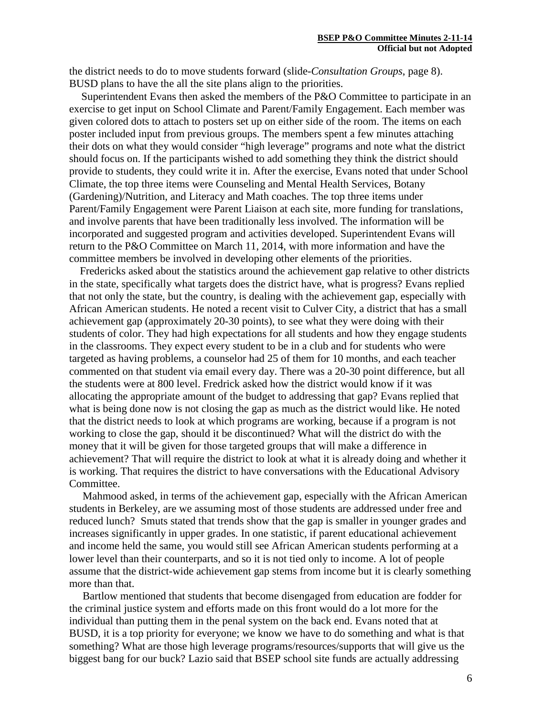the district needs to do to move students forward (slide-*Consultation Groups*, page 8). BUSD plans to have the all the site plans align to the priorities.

Superintendent Evans then asked the members of the P&O Committee to participate in an exercise to get input on School Climate and Parent/Family Engagement. Each member was given colored dots to attach to posters set up on either side of the room. The items on each poster included input from previous groups. The members spent a few minutes attaching their dots on what they would consider "high leverage" programs and note what the district should focus on. If the participants wished to add something they think the district should provide to students, they could write it in. After the exercise, Evans noted that under School Climate, the top three items were Counseling and Mental Health Services, Botany (Gardening)/Nutrition, and Literacy and Math coaches. The top three items under Parent/Family Engagement were Parent Liaison at each site, more funding for translations, and involve parents that have been traditionally less involved. The information will be incorporated and suggested program and activities developed. Superintendent Evans will return to the P&O Committee on March 11, 2014, with more information and have the committee members be involved in developing other elements of the priorities.

 Fredericks asked about the statistics around the achievement gap relative to other districts in the state, specifically what targets does the district have, what is progress? Evans replied that not only the state, but the country, is dealing with the achievement gap, especially with African American students. He noted a recent visit to Culver City, a district that has a small achievement gap (approximately 20-30 points), to see what they were doing with their students of color. They had high expectations for all students and how they engage students in the classrooms. They expect every student to be in a club and for students who were targeted as having problems, a counselor had 25 of them for 10 months, and each teacher commented on that student via email every day. There was a 20-30 point difference, but all the students were at 800 level. Fredrick asked how the district would know if it was allocating the appropriate amount of the budget to addressing that gap? Evans replied that what is being done now is not closing the gap as much as the district would like. He noted that the district needs to look at which programs are working, because if a program is not working to close the gap, should it be discontinued? What will the district do with the money that it will be given for those targeted groups that will make a difference in achievement? That will require the district to look at what it is already doing and whether it is working. That requires the district to have conversations with the Educational Advisory Committee.

 Mahmood asked, in terms of the achievement gap, especially with the African American students in Berkeley, are we assuming most of those students are addressed under free and reduced lunch? Smuts stated that trends show that the gap is smaller in younger grades and increases significantly in upper grades. In one statistic, if parent educational achievement and income held the same, you would still see African American students performing at a lower level than their counterparts, and so it is not tied only to income. A lot of people assume that the district-wide achievement gap stems from income but it is clearly something more than that.

 Bartlow mentioned that students that become disengaged from education are fodder for the criminal justice system and efforts made on this front would do a lot more for the individual than putting them in the penal system on the back end. Evans noted that at BUSD, it is a top priority for everyone; we know we have to do something and what is that something? What are those high leverage programs/resources/supports that will give us the biggest bang for our buck? Lazio said that BSEP school site funds are actually addressing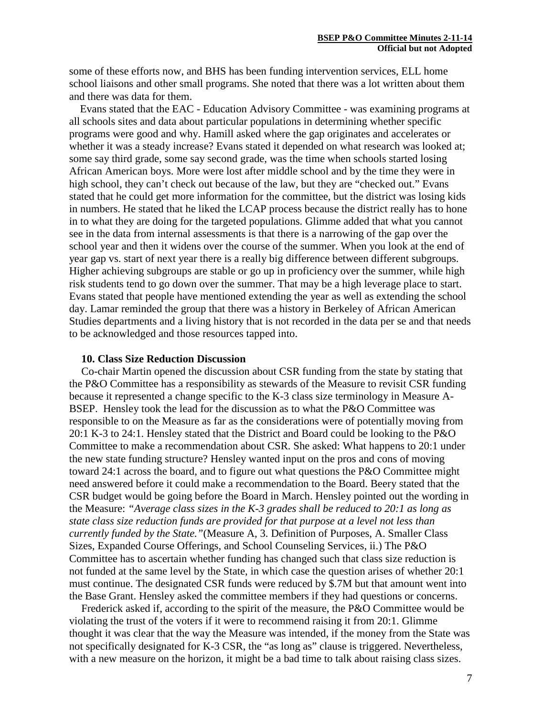some of these efforts now, and BHS has been funding intervention services, ELL home school liaisons and other small programs. She noted that there was a lot written about them and there was data for them.

 Evans stated that the EAC - Education Advisory Committee - was examining programs at all schools sites and data about particular populations in determining whether specific programs were good and why. Hamill asked where the gap originates and accelerates or whether it was a steady increase? Evans stated it depended on what research was looked at; some say third grade, some say second grade, was the time when schools started losing African American boys. More were lost after middle school and by the time they were in high school, they can't check out because of the law, but they are "checked out." Evans stated that he could get more information for the committee, but the district was losing kids in numbers. He stated that he liked the LCAP process because the district really has to hone in to what they are doing for the targeted populations. Glimme added that what you cannot see in the data from internal assessments is that there is a narrowing of the gap over the school year and then it widens over the course of the summer. When you look at the end of year gap vs. start of next year there is a really big difference between different subgroups. Higher achieving subgroups are stable or go up in proficiency over the summer, while high risk students tend to go down over the summer. That may be a high leverage place to start. Evans stated that people have mentioned extending the year as well as extending the school day. Lamar reminded the group that there was a history in Berkeley of African American Studies departments and a living history that is not recorded in the data per se and that needs to be acknowledged and those resources tapped into.

# **10. Class Size Reduction Discussion**

Co-chair Martin opened the discussion about CSR funding from the state by stating that the P&O Committee has a responsibility as stewards of the Measure to revisit CSR funding because it represented a change specific to the K-3 class size terminology in Measure A-BSEP. Hensley took the lead for the discussion as to what the P&O Committee was responsible to on the Measure as far as the considerations were of potentially moving from 20:1 K-3 to 24:1. Hensley stated that the District and Board could be looking to the P&O Committee to make a recommendation about CSR. She asked: What happens to 20:1 under the new state funding structure? Hensley wanted input on the pros and cons of moving toward 24:1 across the board, and to figure out what questions the P&O Committee might need answered before it could make a recommendation to the Board. Beery stated that the CSR budget would be going before the Board in March. Hensley pointed out the wording in the Measure: *"Average class sizes in the K-3 grades shall be reduced to 20:1 as long as state class size reduction funds are provided for that purpose at a level not less than currently funded by the State."*(Measure A, 3. Definition of Purposes, A. Smaller Class Sizes, Expanded Course Offerings, and School Counseling Services, ii.) The P&O Committee has to ascertain whether funding has changed such that class size reduction is not funded at the same level by the State, in which case the question arises of whether 20:1 must continue. The designated CSR funds were reduced by \$.7M but that amount went into the Base Grant. Hensley asked the committee members if they had questions or concerns.

Frederick asked if, according to the spirit of the measure, the P&O Committee would be violating the trust of the voters if it were to recommend raising it from 20:1. Glimme thought it was clear that the way the Measure was intended, if the money from the State was not specifically designated for K-3 CSR, the "as long as" clause is triggered. Nevertheless, with a new measure on the horizon, it might be a bad time to talk about raising class sizes.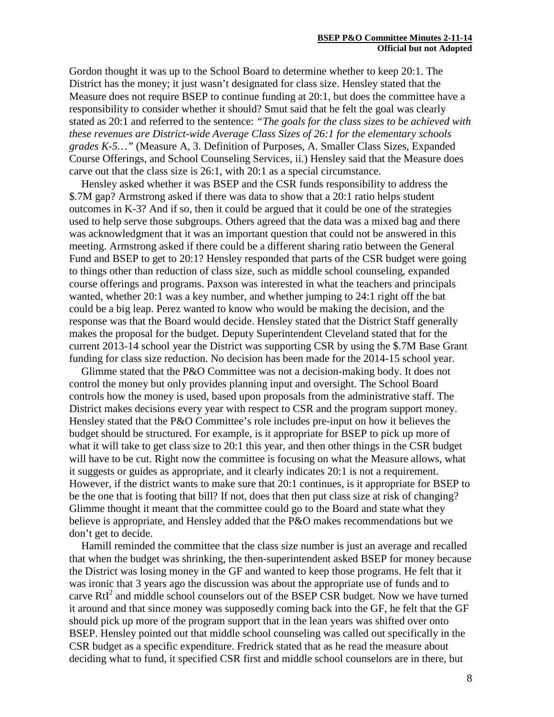Gordon thought it was up to the School Board to determine whether to keep 20:1. The District has the money; it just wasn't designated for class size. Hensley stated that the Measure does not require BSEP to continue funding at 20:1, but does the committee have a responsibility to consider whether it should? Smut said that he felt the goal was clearly stated as 20:1 and referred to the sentence: *"The goals for the class sizes to be achieved with these revenues are District-wide Average Class Sizes of 26:1 for the elementary schools grades K-5…"* (Measure A, 3. Definition of Purposes, A. Smaller Class Sizes, Expanded Course Offerings, and School Counseling Services, ii.) Hensley said that the Measure does carve out that the class size is 26:1, with 20:1 as a special circumstance.

Hensley asked whether it was BSEP and the CSR funds responsibility to address the \$.7M gap? Armstrong asked if there was data to show that a 20:1 ratio helps student outcomes in K-3? And if so, then it could be argued that it could be one of the strategies used to help serve those subgroups. Others agreed that the data was a mixed bag and there was acknowledgment that it was an important question that could not be answered in this meeting. Armstrong asked if there could be a different sharing ratio between the General Fund and BSEP to get to 20:1? Hensley responded that parts of the CSR budget were going to things other than reduction of class size, such as middle school counseling, expanded course offerings and programs. Paxson was interested in what the teachers and principals wanted, whether 20:1 was a key number, and whether jumping to 24:1 right off the bat could be a big leap. Perez wanted to know who would be making the decision, and the response was that the Board would decide. Hensley stated that the District Staff generally makes the proposal for the budget. Deputy Superintendent Cleveland stated that for the current 2013-14 school year the District was supporting CSR by using the \$.7M Base Grant funding for class size reduction. No decision has been made for the 2014-15 school year.

Glimme stated that the P&O Committee was not a decision-making body. It does not control the money but only provides planning input and oversight. The School Board controls how the money is used, based upon proposals from the administrative staff. The District makes decisions every year with respect to CSR and the program support money. Hensley stated that the P&O Committee's role includes pre-input on how it believes the budget should be structured. For example, is it appropriate for BSEP to pick up more of what it will take to get class size to 20:1 this year, and then other things in the CSR budget will have to be cut. Right now the committee is focusing on what the Measure allows, what it suggests or guides as appropriate, and it clearly indicates 20:1 is not a requirement. However, if the district wants to make sure that 20:1 continues, is it appropriate for BSEP to be the one that is footing that bill? If not, does that then put class size at risk of changing? Glimme thought it meant that the committee could go to the Board and state what they believe is appropriate, and Hensley added that the P&O makes recommendations but we don't get to decide.

Hamill reminded the committee that the class size number is just an average and recalled that when the budget was shrinking, the then-superintendent asked BSEP for money because the District was losing money in the GF and wanted to keep those programs. He felt that it was ironic that 3 years ago the discussion was about the appropriate use of funds and to carve  $RtI<sup>2</sup>$  and middle school counselors out of the BSEP CSR budget. Now we have turned it around and that since money was supposedly coming back into the GF, he felt that the GF should pick up more of the program support that in the lean years was shifted over onto BSEP. Hensley pointed out that middle school counseling was called out specifically in the CSR budget as a specific expenditure. Fredrick stated that as he read the measure about deciding what to fund, it specified CSR first and middle school counselors are in there, but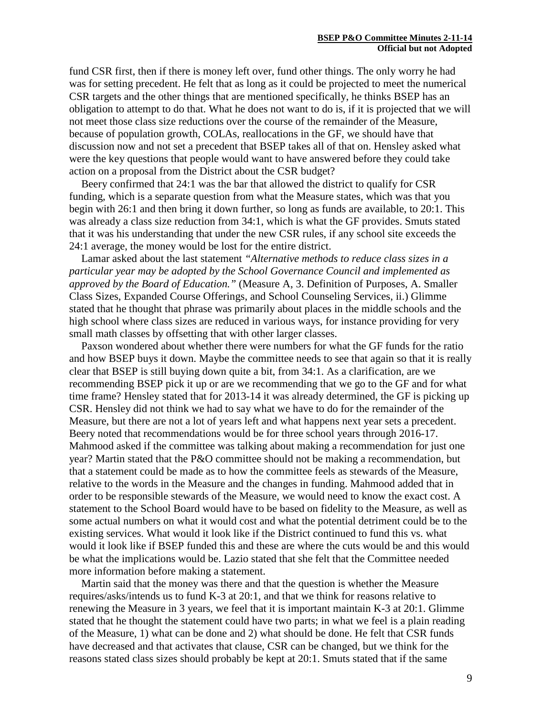fund CSR first, then if there is money left over, fund other things. The only worry he had was for setting precedent. He felt that as long as it could be projected to meet the numerical CSR targets and the other things that are mentioned specifically, he thinks BSEP has an obligation to attempt to do that. What he does not want to do is, if it is projected that we will not meet those class size reductions over the course of the remainder of the Measure, because of population growth, COLAs, reallocations in the GF, we should have that discussion now and not set a precedent that BSEP takes all of that on. Hensley asked what were the key questions that people would want to have answered before they could take action on a proposal from the District about the CSR budget?

Beery confirmed that 24:1 was the bar that allowed the district to qualify for CSR funding, which is a separate question from what the Measure states, which was that you begin with 26:1 and then bring it down further, so long as funds are available, to 20:1. This was already a class size reduction from 34:1, which is what the GF provides. Smuts stated that it was his understanding that under the new CSR rules, if any school site exceeds the 24:1 average, the money would be lost for the entire district.

Lamar asked about the last statement *"Alternative methods to reduce class sizes in a particular year may be adopted by the School Governance Council and implemented as approved by the Board of Education."* (Measure A, 3. Definition of Purposes, A. Smaller Class Sizes, Expanded Course Offerings, and School Counseling Services, ii.) Glimme stated that he thought that phrase was primarily about places in the middle schools and the high school where class sizes are reduced in various ways, for instance providing for very small math classes by offsetting that with other larger classes.

Paxson wondered about whether there were numbers for what the GF funds for the ratio and how BSEP buys it down. Maybe the committee needs to see that again so that it is really clear that BSEP is still buying down quite a bit, from 34:1. As a clarification, are we recommending BSEP pick it up or are we recommending that we go to the GF and for what time frame? Hensley stated that for 2013-14 it was already determined, the GF is picking up CSR. Hensley did not think we had to say what we have to do for the remainder of the Measure, but there are not a lot of years left and what happens next year sets a precedent. Beery noted that recommendations would be for three school years through 2016-17. Mahmood asked if the committee was talking about making a recommendation for just one year? Martin stated that the P&O committee should not be making a recommendation, but that a statement could be made as to how the committee feels as stewards of the Measure, relative to the words in the Measure and the changes in funding. Mahmood added that in order to be responsible stewards of the Measure, we would need to know the exact cost. A statement to the School Board would have to be based on fidelity to the Measure, as well as some actual numbers on what it would cost and what the potential detriment could be to the existing services. What would it look like if the District continued to fund this vs. what would it look like if BSEP funded this and these are where the cuts would be and this would be what the implications would be. Lazio stated that she felt that the Committee needed more information before making a statement.

Martin said that the money was there and that the question is whether the Measure requires/asks/intends us to fund K-3 at 20:1, and that we think for reasons relative to renewing the Measure in 3 years, we feel that it is important maintain K-3 at 20:1. Glimme stated that he thought the statement could have two parts; in what we feel is a plain reading of the Measure, 1) what can be done and 2) what should be done. He felt that CSR funds have decreased and that activates that clause, CSR can be changed, but we think for the reasons stated class sizes should probably be kept at 20:1. Smuts stated that if the same